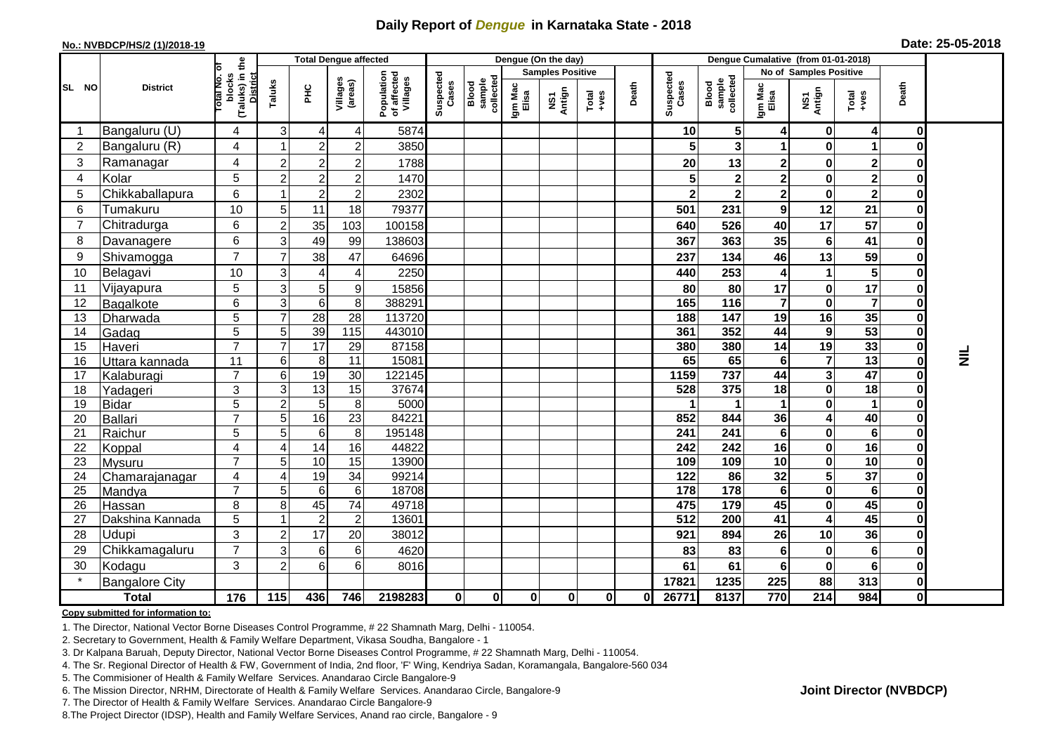## **Daily Report of** *Dengue* **in Karnataka State - 2018**

#### **No.: NVBDCP/HS/2 (1)/2018-19**

|  | Date: 25-05-2018 |  |
|--|------------------|--|
|--|------------------|--|

|                |                           |                                                              |                              |                 | <b>Total Dengue affected</b> |                                       | Dengue (On the day) |                              |                  |                         |             |          |                    | Dengue Cumalative (from 01-01-2018) |                         |                              |                 |                                      |                 |
|----------------|---------------------------|--------------------------------------------------------------|------------------------------|-----------------|------------------------------|---------------------------------------|---------------------|------------------------------|------------------|-------------------------|-------------|----------|--------------------|-------------------------------------|-------------------------|------------------------------|-----------------|--------------------------------------|-----------------|
|                |                           |                                                              |                              |                 |                              |                                       |                     |                              |                  | <b>Samples Positive</b> |             |          |                    |                                     |                         | No of Samples Positive       |                 |                                      |                 |
| SL NO          | <b>District</b>           | (Taluks) in the<br>Total No. of<br>blocks<br><b>District</b> | Taluks                       | PНC             | Villages<br>(areas)          | Population<br>of affected<br>Villages | Suspected<br>Cases  | collected<br>sample<br>Blood | Igm Mac<br>Elisa | Antign<br>NS7           | $Total$     | Death    | Suspected<br>Cases | Blood<br>sample<br>collected        | Igm Mac<br>Elisa        | NS1<br>Antign                | Total<br>+ves   | Death                                |                 |
| -1             | Bangaluru (U)             | 4                                                            | 3                            | 4               | 4                            | 5874                                  |                     |                              |                  |                         |             |          | 10                 | $5\phantom{.0}$                     | 4                       | $\mathbf{0}$                 | 4               | 0                                    |                 |
| $\overline{2}$ | Bangaluru (R)             | 4                                                            | 1                            | $\overline{2}$  | $\overline{c}$               | 3850                                  |                     |                              |                  |                         |             |          | 5                  | 3                                   | 1                       | $\mathbf{0}$                 | 1               | 0                                    |                 |
| 3              | Ramanagar                 | 4                                                            | 2                            | 2               | $\overline{c}$               | 1788                                  |                     |                              |                  |                         |             |          | 20                 | 13                                  | $\mathbf{2}$            | $\mathbf{0}$                 | 2               | 0                                    |                 |
| 4              | Kolar                     | 5                                                            | $\overline{2}$               | $\overline{c}$  | $\overline{2}$               | 1470                                  |                     |                              |                  |                         |             |          | 5                  | $\overline{\mathbf{2}}$             | $\overline{\mathbf{2}}$ | $\mathbf{0}$                 | $\mathbf{2}$    | 0                                    |                 |
| 5              | Chikkaballapura           | 6                                                            |                              | $\overline{c}$  | $\overline{c}$               | 2302                                  |                     |                              |                  |                         |             |          | $\overline{2}$     | $\overline{2}$                      | $\mathbf{2}$            | $\mathbf{0}$                 | $\mathbf{2}$    | $\mathbf 0$                          |                 |
| 6              | Tumakuru                  | 10                                                           | 5                            | 11              | 18                           | 79377                                 |                     |                              |                  |                         |             |          | 501                | 231                                 | 9                       | 12                           | 21              | 0                                    |                 |
| $\overline{7}$ | Chitradurga               | 6                                                            | $\overline{c}$               | 35              | 103                          | 100158                                |                     |                              |                  |                         |             |          | 640                | 526                                 | 40                      | 17                           | 57              | $\mathbf 0$                          |                 |
| 8              | Davanagere                | 6                                                            | 3                            | 49              | 99                           | 138603                                |                     |                              |                  |                         |             |          | 367                | 363                                 | 35                      | 6 <sup>1</sup>               | 41              | $\mathbf 0$                          |                 |
| 9              | Shivamogga                | $\overline{7}$                                               |                              | 38              | 47                           | 64696                                 |                     |                              |                  |                         |             |          | 237                | 134                                 | 46                      | 13                           | 59              | 0                                    |                 |
| 10             | Belagavi                  | 10                                                           | 3                            | 4               | 4                            | 2250                                  |                     |                              |                  |                         |             |          | 440                | 253                                 | 4                       | 1                            | 5               | 0                                    |                 |
| 11             | Vijayapura                | 5                                                            | 3                            | 5               | 9                            | 15856                                 |                     |                              |                  |                         |             |          | 80                 | 80                                  | 17                      | $\mathbf 0$                  | 17              | $\pmb{0}$                            |                 |
| 12             | Bagalkote                 | 6                                                            | 3                            | 6               | 8                            | 388291                                |                     |                              |                  |                         |             |          | 165                | 116                                 | $\overline{7}$          | $\mathbf{0}$                 | $\overline{7}$  | $\mathbf 0$                          |                 |
| 13             | Dharwada                  | 5                                                            | $\overline{7}$               | $\overline{28}$ | $\overline{28}$              | 113720                                |                     |                              |                  |                         |             |          | 188                | $\frac{1}{147}$                     | 19                      | 16                           | 35              | 0                                    |                 |
| 14             | Gadag                     | 5                                                            | 5                            | 39              | 115                          | 443010                                |                     |                              |                  |                         |             |          | 361                | 352                                 | 44                      | 9 <sub>l</sub>               | 53              | $\mathbf 0$                          |                 |
| 15             | Haveri                    | $\overline{7}$                                               | $\overline{7}$               | 17              | 29                           | 87158                                 |                     |                              |                  |                         |             |          | 380                | 380                                 | 14                      | 19                           | 33              | $\pmb{0}$                            |                 |
| 16             | Uttara kannada            | 11                                                           | 6                            | 8               | 11                           | 15081                                 |                     |                              |                  |                         |             |          | 65                 | 65                                  | $6 \,$                  | $\overline{ }$               | $\overline{13}$ | $\overline{\mathbf{0}}$              | $\vec{\bar{z}}$ |
| 17             | Kalaburagi                | $\overline{7}$                                               | 6                            | 19              | 30                           | 122145                                |                     |                              |                  |                         |             |          | 1159               | 737                                 | 44                      | $\mathbf{3}$                 | $\overline{47}$ | $\overline{\mathbf{0}}$              |                 |
| 18             | Yadageri                  | 3                                                            | 3                            | $\overline{13}$ | 15                           | 37674                                 |                     |                              |                  |                         |             |          | 528                | 375                                 | 18                      | $\mathbf{0}$                 | 18              | $\mathbf 0$                          |                 |
| 19             | <b>Bidar</b>              | 5                                                            | $\overline{2}$               | $\overline{5}$  | 8                            | 5000                                  |                     |                              |                  |                         |             |          |                    |                                     | $\overline{\mathbf{1}}$ | $\mathbf{0}$                 | $\mathbf{1}$    | $\overline{\mathbf{0}}$              |                 |
| 20             | Ballari                   | $\overline{7}$                                               | 5                            | $\overline{6}$  | $\overline{23}$              | 84221                                 |                     |                              |                  |                         |             |          | 852                | 844                                 | 36                      | 4                            | 40              | $\pmb{0}$                            |                 |
| 21             | Raichur                   | 5                                                            | 5                            | 6               | $\overline{8}$               | 195148                                |                     |                              |                  |                         |             |          | 241                | $\overline{241}$                    | $6\phantom{1}$          | $\mathbf{0}$                 | $6\phantom{1}$  | $\overline{\mathbf{0}}$              |                 |
| 22             | Koppal                    | 4                                                            | 4                            | 14              | 16                           | 44822                                 |                     |                              |                  |                         |             |          | 242                | 242                                 | 16                      | $\mathbf{0}$                 | 16              | $\overline{\mathbf{0}}$              |                 |
| 23             | Mysuru                    | $\overline{7}$                                               | 5                            | 10              | 15                           | 13900                                 |                     |                              |                  |                         |             |          | 109                | 109                                 | 10                      | $\overline{\mathbf{0}}$      | 10              | $\overline{\mathbf{0}}$              |                 |
| 24             | Chamarajanagar            | 4<br>$\overline{7}$                                          | 4                            | 19              | 34                           | 99214<br>18708                        |                     |                              |                  |                         |             |          | 122<br>178         | 86<br>$\frac{1}{178}$               | 32                      | 5 <sup>1</sup>               | $\overline{37}$ | $\pmb{0}$                            |                 |
| 25<br>26       | Mandya                    | 8                                                            | 5                            | 6<br>45         | 6<br>74                      | 49718                                 |                     |                              |                  |                         |             |          | 475                | 179                                 | $6 \mid$<br>45          | $\mathbf{0}$<br>$\mathbf{0}$ | 6<br>45         | $\pmb{0}$<br>$\overline{\mathbf{0}}$ |                 |
| 27             | Hassan                    | 5                                                            | 8<br>$\overline{\mathbf{1}}$ | $\overline{2}$  | $\overline{2}$               | 13601                                 |                     |                              |                  |                         |             |          | $\overline{512}$   | 200                                 | 41                      | 4                            | 45              | $\overline{\mathbf{0}}$              |                 |
| 28             | Dakshina Kannada<br>Udupi | 3                                                            | $\overline{c}$               | 17              | 20                           |                                       |                     |                              |                  |                         |             |          | 921                |                                     |                         |                              |                 | $\pmb{0}$                            |                 |
| 29             | Chikkamagaluru            | $\overline{7}$                                               | 3                            | 6               | 6                            | 38012<br>4620                         |                     |                              |                  |                         |             |          | 83                 | 894<br>83                           | 26<br>$6 \,$            | 10<br> 0                     | 36<br>6         | 0                                    |                 |
| 30             | Kodagu                    | 3                                                            | $\overline{2}$               | 6               | $6\phantom{1}$               | 8016                                  |                     |                              |                  |                         |             |          | 61                 | 61                                  | $6 \,$                  | $\mathbf 0$                  | 6               | $\pmb{0}$                            |                 |
|                | <b>Bangalore City</b>     |                                                              |                              |                 |                              |                                       |                     |                              |                  |                         |             |          | 17821              | 1235                                | 225                     | 88                           | 313             | $\mathbf 0$                          |                 |
|                | <b>Total</b>              | 176                                                          | 115                          | 436             | 746                          | 2198283                               | $\mathbf 0$         | 0                            | 0                | $\mathbf{0}$            | $\mathbf 0$ | $\bf{0}$ | 26771              | 8137                                | 770                     | 214                          | 984             | $\mathbf 0$                          |                 |
|                |                           |                                                              |                              |                 |                              |                                       |                     |                              |                  |                         |             |          |                    |                                     |                         |                              |                 |                                      |                 |

#### **Copy submitted for information to:**

1. The Director, National Vector Borne Diseases Control Programme, # 22 Shamnath Marg, Delhi - 110054.

2. Secretary to Government, Health & Family Welfare Department, Vikasa Soudha, Bangalore - 1

3. Dr Kalpana Baruah, Deputy Director, National Vector Borne Diseases Control Programme, # 22 Shamnath Marg, Delhi - 110054.

4. The Sr. Regional Director of Health & FW, Government of India, 2nd floor, 'F' Wing, Kendriya Sadan, Koramangala, Bangalore-560 034

5. The Commisioner of Health & Family Welfare Services. Anandarao Circle Bangalore-9

6. The Mission Director, NRHM, Directorate of Health & Family Welfare Services. Anandarao Circle, Bangalore-9

7. The Director of Health & Family Welfare Services. Anandarao Circle Bangalore-9

8.The Project Director (IDSP), Health and Family Welfare Services, Anand rao circle, Bangalore - 9